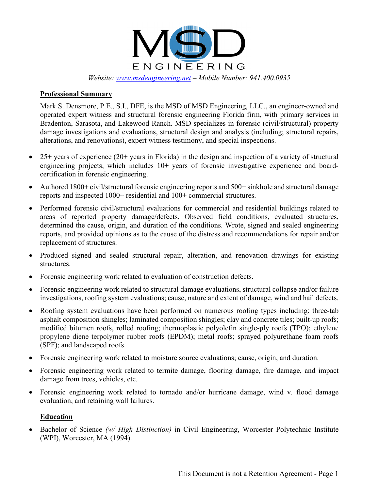

*Website: [www.msdengineering.net](http://www.msdengineering.net/) – Mobile Number: 941.400.0935*

#### **Professional Summary**

Mark S. Densmore, P.E., S.I., DFE, is the MSD of MSD Engineering, LLC., an engineer-owned and operated expert witness and structural forensic engineering Florida firm, with primary services in Bradenton, Sarasota, and Lakewood Ranch. MSD specializes in forensic (civil/structural) property damage investigations and evaluations, structural design and analysis (including; structural repairs, alterations, and renovations), expert witness testimony, and special inspections.

- 25+ years of experience (20+ years in Florida) in the design and inspection of a variety of structural engineering projects, which includes 10+ years of forensic investigative experience and boardcertification in forensic engineering.
- Authored 1800+ civil/structural forensic engineering reports and 500+ sinkhole and structural damage reports and inspected 1000+ residential and 100+ commercial structures.
- Performed forensic civil/structural evaluations for commercial and residential buildings related to areas of reported property damage/defects. Observed field conditions, evaluated structures, determined the cause, origin, and duration of the conditions. Wrote, signed and sealed engineering reports, and provided opinions as to the cause of the distress and recommendations for repair and/or replacement of structures.
- Produced signed and sealed structural repair, alteration, and renovation drawings for existing structures.
- Forensic engineering work related to evaluation of construction defects.
- Forensic engineering work related to structural damage evaluations, structural collapse and/or failure investigations, roofing system evaluations; cause, nature and extent of damage, wind and hail defects.
- Roofing system evaluations have been performed on numerous roofing types including: three-tab asphalt composition shingles; laminated composition shingles; clay and concrete tiles; built-up roofs; modified bitumen roofs, rolled roofing; thermoplastic polyolefin single-ply roofs (TPO); ethylene propylene diene terpolymer rubber roofs (EPDM); metal roofs; sprayed polyurethane foam roofs (SPF); and landscaped roofs.
- Forensic engineering work related to moisture source evaluations; cause, origin, and duration.
- Forensic engineering work related to termite damage, flooring damage, fire damage, and impact damage from trees, vehicles, etc.
- Forensic engineering work related to tornado and/or hurricane damage, wind v. flood damage evaluation, and retaining wall failures.

### **Education**

• Bachelor of Science *(w/ High Distinction)* in Civil Engineering, Worcester Polytechnic Institute (WPI), Worcester, MA (1994).